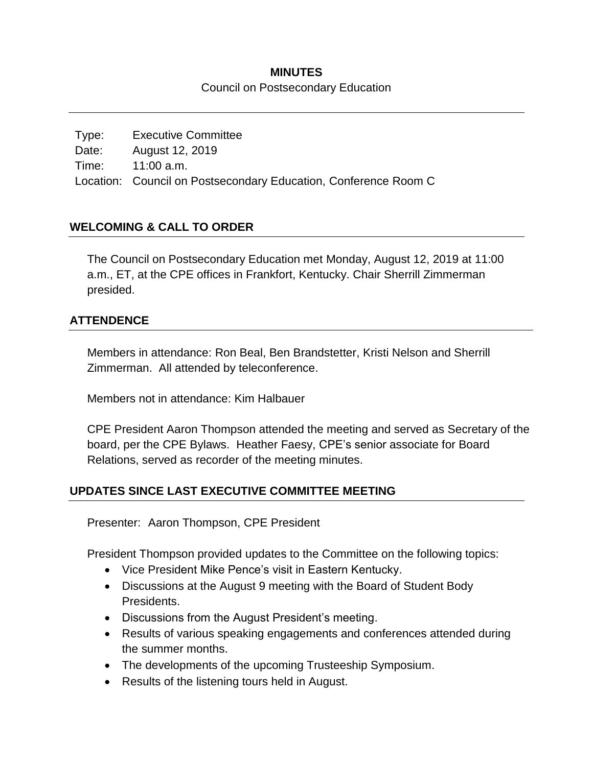# **MINUTES**

Council on Postsecondary Education

Type: Executive Committee Date: August 12, 2019 Time: 11:00 a.m. Location: Council on Postsecondary Education, Conference Room C

# **WELCOMING & CALL TO ORDER**

The Council on Postsecondary Education met Monday, August 12, 2019 at 11:00 a.m., ET, at the CPE offices in Frankfort, Kentucky. Chair Sherrill Zimmerman presided.

# **ATTENDENCE**

Members in attendance: Ron Beal, Ben Brandstetter, Kristi Nelson and Sherrill Zimmerman. All attended by teleconference.

Members not in attendance: Kim Halbauer

CPE President Aaron Thompson attended the meeting and served as Secretary of the board, per the CPE Bylaws. Heather Faesy, CPE's senior associate for Board Relations, served as recorder of the meeting minutes.

# **UPDATES SINCE LAST EXECUTIVE COMMITTEE MEETING**

Presenter: Aaron Thompson, CPE President

President Thompson provided updates to the Committee on the following topics:

- Vice President Mike Pence's visit in Eastern Kentucky.
- Discussions at the August 9 meeting with the Board of Student Body Presidents.
- Discussions from the August President's meeting.
- Results of various speaking engagements and conferences attended during the summer months.
- The developments of the upcoming Trusteeship Symposium.
- Results of the listening tours held in August.